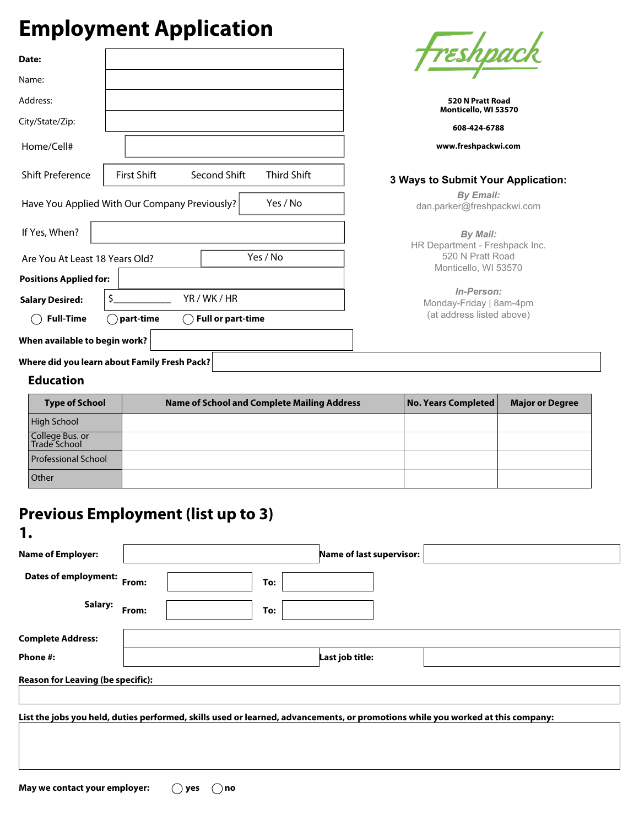## **Employment Application**

| <b>Employment Application</b>                                 |                                                                            |
|---------------------------------------------------------------|----------------------------------------------------------------------------|
| Date:                                                         | <del>Freshpaci</del>                                                       |
| Name:                                                         |                                                                            |
| Address:                                                      | 520 N Pratt Road<br>Monticello, WI 53570                                   |
| City/State/Zip:                                               | 608-424-6788                                                               |
| Home/Cell#                                                    | www.freshpackwi.com                                                        |
| <b>Shift Preference</b><br><b>First Shift</b><br>Second Shift | <b>Third Shift</b><br>3 Ways to Submit Your Application:                   |
| Have You Applied With Our Company Previously?                 | <b>By Email:</b><br>Yes / No<br>dan.parker@freshpackwi.com                 |
| If Yes, When?                                                 | <b>By Mail:</b>                                                            |
| Yes / No<br>Are You At Least 18 Years Old?                    | HR Department - Freshpack Inc.<br>520 N Pratt Road<br>Monticello, WI 53570 |
| <b>Positions Applied for:</b>                                 |                                                                            |
| YR/WK/HR<br><b>Salary Desired:</b>                            | In-Person:<br>Monday-Friday   8am-4pm                                      |
| <b>Full-Time</b><br>part-time<br><b>Full or part-time</b>     | (at address listed above)                                                  |
| When available to begin work?                                 |                                                                            |
| Where did you learn about Family Fresh Pack?                  |                                                                            |

## **Education**

**1.**

| <b>Type of School</b>           | <b>Name of School and Complete Mailing Address</b> | No. Years Completed | <b>Major or Degree</b> |
|---------------------------------|----------------------------------------------------|---------------------|------------------------|
| High School                     |                                                    |                     |                        |
| College Bus. or<br>Trade School |                                                    |                     |                        |
| Professional School             |                                                    |                     |                        |
| Other                           |                                                    |                     |                        |

## **Previous Employment (list up to 3)**

| . .                                                                                                                             |                          |  |  |  |  |  |  |  |
|---------------------------------------------------------------------------------------------------------------------------------|--------------------------|--|--|--|--|--|--|--|
| <b>Name of Employer:</b>                                                                                                        | Name of last supervisor: |  |  |  |  |  |  |  |
| <b>Dates of employment:</b>                                                                                                     | From:<br>To:             |  |  |  |  |  |  |  |
| Salary:                                                                                                                         | From:<br>To:             |  |  |  |  |  |  |  |
| <b>Complete Address:</b>                                                                                                        |                          |  |  |  |  |  |  |  |
| Phone #:                                                                                                                        | Last job title:          |  |  |  |  |  |  |  |
| <b>Reason for Leaving (be specific):</b>                                                                                        |                          |  |  |  |  |  |  |  |
| List the jobs you held, duties performed, skills used or learned, advancements, or promotions while you worked at this company: |                          |  |  |  |  |  |  |  |
|                                                                                                                                 |                          |  |  |  |  |  |  |  |
|                                                                                                                                 |                          |  |  |  |  |  |  |  |
|                                                                                                                                 |                          |  |  |  |  |  |  |  |